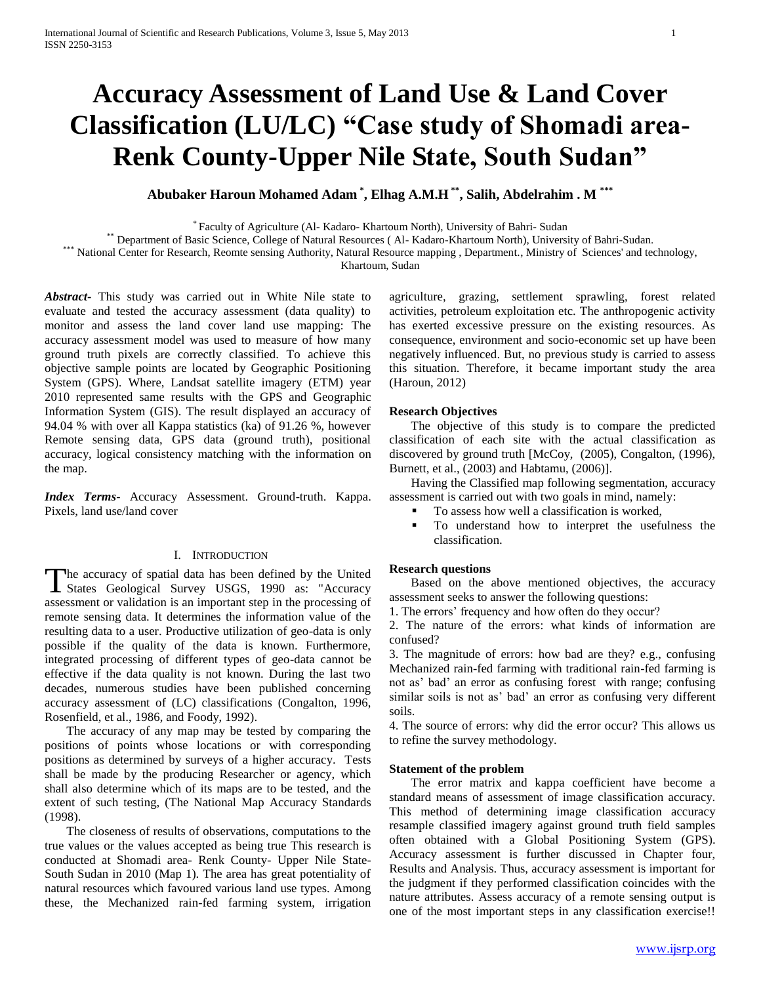# **Accuracy Assessment of Land Use & Land Cover Classification (LU/LC) "Case study of Shomadi area-Renk County-Upper Nile State, South Sudan"**

**Abubaker Haroun Mohamed Adam \* , Elhag A.M.H \*\* , Salih, Abdelrahim . M \*\*\***

\* Faculty of Agriculture (Al- Kadaro- Khartoum North), University of Bahri- Sudan

\*\* Department of Basic Science, College of Natural Resources ( Al- Kadaro-Khartoum North), University of Bahri-Sudan.

\*\*\* National Center for Research, Reomte sensing Authority, Natural Resource mapping, Department., Ministry of Sciences' and technology,

Khartoum, Sudan

*Abstract***-** This study was carried out in White Nile state to evaluate and tested the accuracy assessment (data quality) to monitor and assess the land cover land use mapping: The accuracy assessment model was used to measure of how many ground truth pixels are correctly classified. To achieve this objective sample points are located by Geographic Positioning System (GPS). Where, Landsat satellite imagery (ETM) year 2010 represented same results with the GPS and Geographic Information System (GIS). The result displayed an accuracy of 94.04 % with over all Kappa statistics (ka) of 91.26 %, however Remote sensing data, GPS data (ground truth), positional accuracy, logical consistency matching with the information on the map.

*Index Terms*- Accuracy Assessment. Ground-truth. Kappa. Pixels, land use/land cover

# I. INTRODUCTION

The accuracy of spatial data has been defined by the United States Geological Survey USGS, 1990 as: "Accuracy States Geological Survey USGS, 1990 as: "Accuracy assessment or validation is an important step in the processing of remote sensing data. It determines the information value of the resulting data to a user. Productive utilization of geo-data is only possible if the quality of the data is known. Furthermore, integrated processing of different types of geo-data cannot be effective if the data quality is not known. During the last two decades, numerous studies have been published concerning accuracy assessment of (LC) classifications (Congalton, 1996, Rosenfield, et al., 1986, and Foody, 1992).

 The accuracy of any map may be tested by comparing the positions of points whose locations or with corresponding positions as determined by surveys of a higher accuracy. Tests shall be made by the producing Researcher or agency, which shall also determine which of its maps are to be tested, and the extent of such testing, (The National Map Accuracy Standards (1998).

 The closeness of results of observations, computations to the true values or the values accepted as being true This research is conducted at Shomadi area- Renk County- Upper Nile State-South Sudan in 2010 (Map 1). The area has great potentiality of natural resources which favoured various land use types. Among these, the Mechanized rain-fed farming system, irrigation agriculture, grazing, settlement sprawling, forest related activities, petroleum exploitation etc. The anthropogenic activity has exerted excessive pressure on the existing resources. As consequence, environment and socio-economic set up have been negatively influenced. But, no previous study is carried to assess this situation. Therefore, it became important study the area (Haroun, 2012)

## **Research Objectives**

 The objective of this study is to compare the predicted classification of each site with the actual classification as discovered by ground truth [McCoy, (2005), Congalton, (1996), Burnett, et al., (2003) and Habtamu, (2006)].

 Having the Classified map following segmentation, accuracy assessment is carried out with two goals in mind, namely:

- To assess how well a classification is worked,
- To understand how to interpret the usefulness the classification.

# **Research questions**

 Based on the above mentioned objectives, the accuracy assessment seeks to answer the following questions:

1. The errors' frequency and how often do they occur?

2. The nature of the errors: what kinds of information are confused?

3. The magnitude of errors: how bad are they? e.g., confusing Mechanized rain-fed farming with traditional rain-fed farming is not as' bad' an error as confusing forest with range; confusing similar soils is not as' bad' an error as confusing very different soils.

4. The source of errors: why did the error occur? This allows us to refine the survey methodology.

### **Statement of the problem**

 The error matrix and kappa coefficient have become a standard means of assessment of image classification accuracy. This method of determining image classification accuracy resample classified imagery against ground truth field samples often obtained with a Global Positioning System (GPS). Accuracy assessment is further discussed in Chapter four, Results and Analysis. Thus, accuracy assessment is important for the judgment if they performed classification coincides with the nature attributes. Assess accuracy of a remote sensing output is one of the most important steps in any classification exercise!!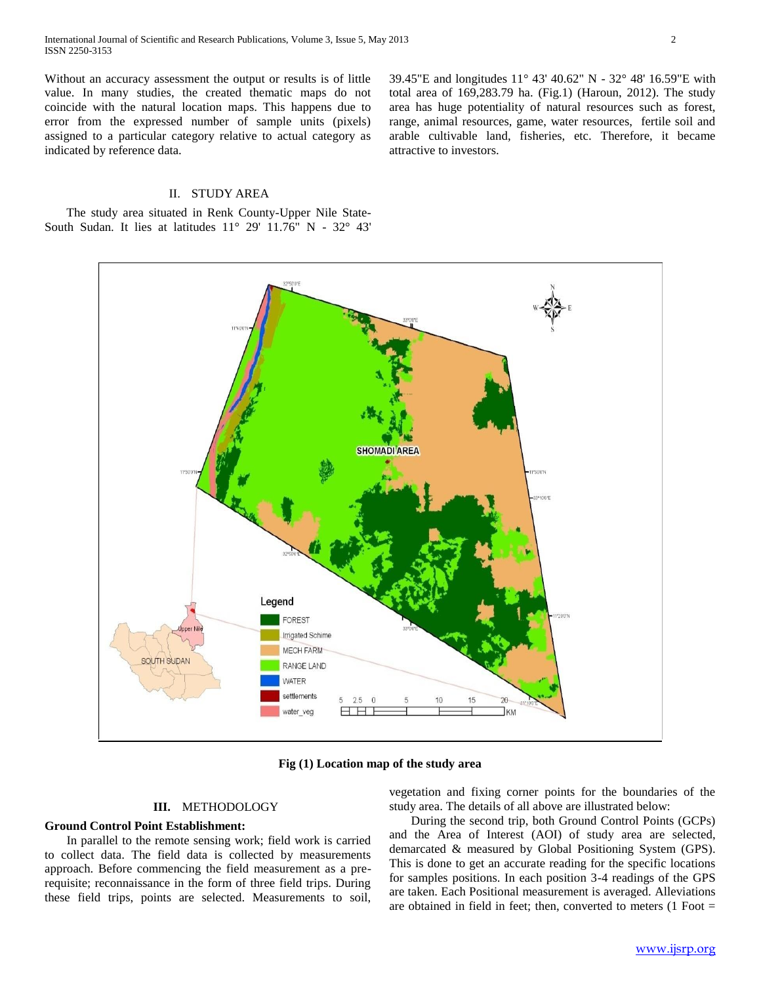Without an accuracy assessment the output or results is of little value. In many studies, the created thematic maps do not coincide with the natural location maps. This happens due to error from the expressed number of sample units (pixels) assigned to a particular category relative to actual category as indicated by reference data.

## II. STUDY AREA

 The study area situated in Renk County-Upper Nile State-South Sudan. It lies at latitudes 11° 29' 11.76" N - 32° 43' 39.45"E and longitudes 11° 43' 40.62" N - 32° 48' 16.59"E with total area of 169,283.79 ha. (Fig.1) (Haroun, 2012). The study area has huge potentiality of natural resources such as forest, range, animal resources, game, water resources, fertile soil and arable cultivable land, fisheries, etc. Therefore, it became attractive to investors.



**Fig (1) Location map of the study area**

# **III.** METHODOLOGY

## **Ground Control Point Establishment:**

 In parallel to the remote sensing work; field work is carried to collect data. The field data is collected by measurements approach. Before commencing the field measurement as a prerequisite; reconnaissance in the form of three field trips. During these field trips, points are selected. Measurements to soil,

vegetation and fixing corner points for the boundaries of the study area. The details of all above are illustrated below:

 During the second trip, both Ground Control Points (GCPs) and the Area of Interest (AOI) of study area are selected, demarcated & measured by Global Positioning System (GPS). This is done to get an accurate reading for the specific locations for samples positions. In each position 3-4 readings of the GPS are taken. Each Positional measurement is averaged. Alleviations are obtained in field in feet; then, converted to meters  $(1$  Foot =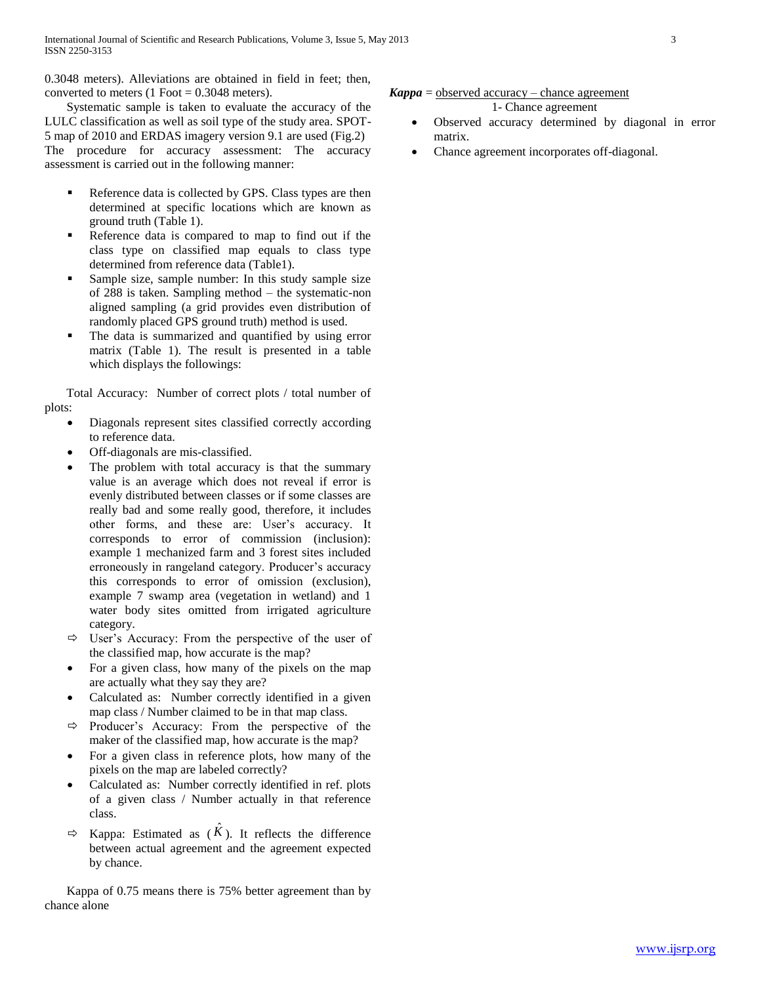0.3048 meters). Alleviations are obtained in field in feet; then, converted to meters  $(1$  Foot = 0.3048 meters).

 Systematic sample is taken to evaluate the accuracy of the LULC classification as well as soil type of the study area. SPOT-5 map of 2010 and ERDAS imagery version 9.1 are used (Fig.2) The procedure for accuracy assessment: The accuracy assessment is carried out in the following manner:

- Reference data is collected by GPS. Class types are then determined at specific locations which are known as ground truth (Table 1).
- Reference data is compared to map to find out if the class type on classified map equals to class type determined from reference data (Table1).
- Sample size, sample number: In this study sample size of 288 is taken. Sampling method – the systematic-non aligned sampling (a grid provides even distribution of randomly placed GPS ground truth) method is used.
- The data is summarized and quantified by using error matrix (Table 1). The result is presented in a table which displays the followings:

 Total Accuracy: Number of correct plots / total number of plots:

- Diagonals represent sites classified correctly according to reference data.
- Off-diagonals are mis-classified.
- The problem with total accuracy is that the summary value is an average which does not reveal if error is evenly distributed between classes or if some classes are really bad and some really good, therefore, it includes other forms, and these are: User's accuracy. It corresponds to error of commission (inclusion): example 1 mechanized farm and 3 forest sites included erroneously in rangeland category. Producer's accuracy this corresponds to error of omission (exclusion), example 7 swamp area (vegetation in wetland) and 1 water body sites omitted from irrigated agriculture category.
- $\Rightarrow$  User's Accuracy: From the perspective of the user of the classified map, how accurate is the map?
- For a given class, how many of the pixels on the map are actually what they say they are?
- Calculated as: Number correctly identified in a given map class / Number claimed to be in that map class.
- $\Rightarrow$  Producer's Accuracy: From the perspective of the maker of the classified map, how accurate is the map?
- For a given class in reference plots, how many of the pixels on the map are labeled correctly?
- Calculated as: Number correctly identified in ref. plots of a given class / Number actually in that reference class.
- $\Rightarrow$  Kappa: Estimated as  $(\hat{K})$ . It reflects the difference between actual agreement and the agreement expected by chance.

 Kappa of 0.75 means there is 75% better agreement than by chance alone

# $Kappa = observed accuracy - chance agreement$

1- Chance agreement

- Observed accuracy determined by diagonal in error matrix.
- Chance agreement incorporates off-diagonal.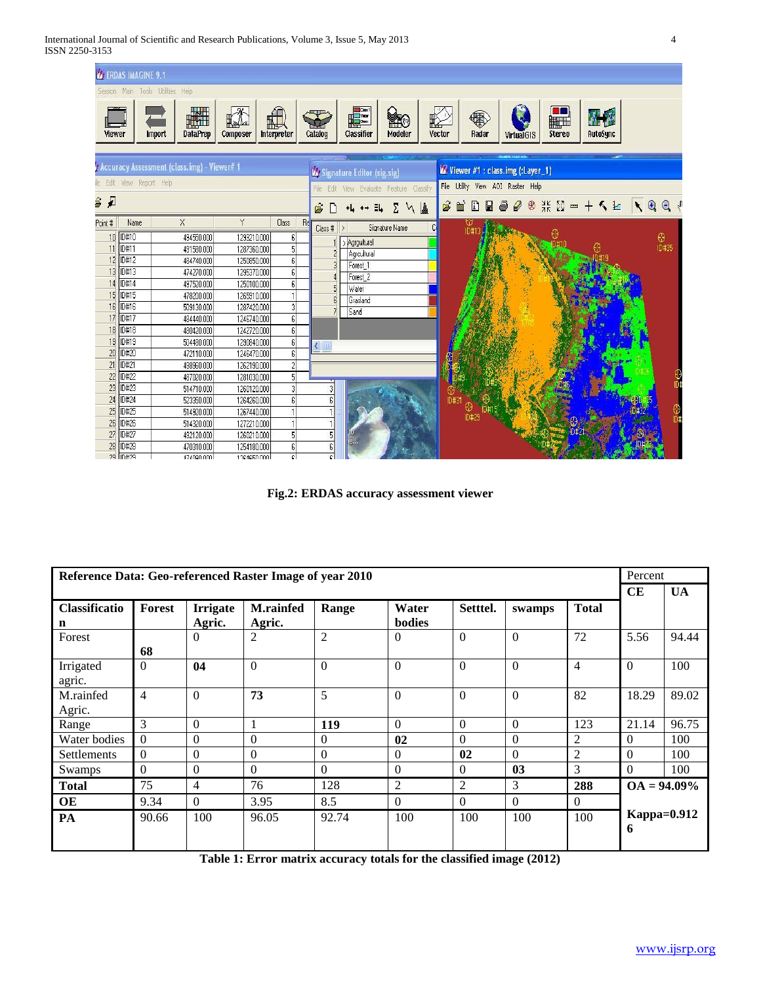

**Fig.2: ERDAS accuracy assessment viewer**

| Reference Data: Geo-referenced Raster Image of year 2010 |                |                |                  |                |                |          |          | Percent        |                         |           |
|----------------------------------------------------------|----------------|----------------|------------------|----------------|----------------|----------|----------|----------------|-------------------------|-----------|
|                                                          |                |                |                  |                |                |          |          |                | CE                      | <b>UA</b> |
| Classificatio                                            | Forest         | Irrigate       | <b>M.rainfed</b> | Range          | Water          | Setttel. | swamps   | <b>Total</b>   |                         |           |
| n                                                        |                | Agric.         | Agric.           |                | bodies         |          |          |                |                         |           |
| Forest                                                   |                | $\Omega$       | $\overline{c}$   | $\overline{2}$ | $\Omega$       | $\Omega$ | $\Omega$ | 72             | 5.56                    | 94.44     |
|                                                          | 68             |                |                  |                |                |          |          |                |                         |           |
| Irrigated                                                | $\theta$       | 04             | $\Omega$         | $\theta$       | $\theta$       | $\Omega$ | $\Omega$ | $\overline{4}$ | $\theta$                | 100       |
| agric.                                                   |                |                |                  |                |                |          |          |                |                         |           |
| M.rainfed                                                | $\overline{4}$ | $\theta$       | 73               | 5              | $\Omega$       | $\Omega$ | $\Omega$ | 82             | 18.29                   | 89.02     |
| Agric.                                                   |                |                |                  |                |                |          |          |                |                         |           |
| Range                                                    | 3              | $\Omega$       |                  | <b>119</b>     | $\Omega$       | $\Omega$ | $\Omega$ | 123            | 21.14                   | 96.75     |
| Water bodies                                             | $\Omega$       | $\Omega$       | $\Omega$         | $\Omega$       | 02             | $\Omega$ | $\Omega$ | 2              | $\Omega$                | 100       |
| Settlements                                              | $\theta$       | $\Omega$       | $\Omega$         | $\Omega$       | $\theta$       | 02       | $\Omega$ | $\overline{c}$ | $\Omega$                | 100       |
| Swamps                                                   | $\theta$       | $\Omega$       | $\Omega$         | $\Omega$       | $\theta$       | $\Omega$ | 03       | 3              | $\Omega$                | 100       |
| <b>Total</b>                                             | 75             | $\overline{4}$ | 76               | 128            | $\overline{2}$ | 2        | 3        | 288            | $OA = 94.09\%$          |           |
| <b>OE</b>                                                | 9.34           | $\theta$       | 3.95             | 8.5            | $\Omega$       | $\Omega$ | $\Omega$ | $\theta$       |                         |           |
| PA                                                       | 90.66          | 100            | 96.05            | 92.74          | 100            | 100      | 100      | 100            | <b>Kappa=0.912</b><br>6 |           |
|                                                          |                |                |                  |                |                |          |          |                |                         |           |

**Table 1: Error matrix accuracy totals for the classified image (2012)**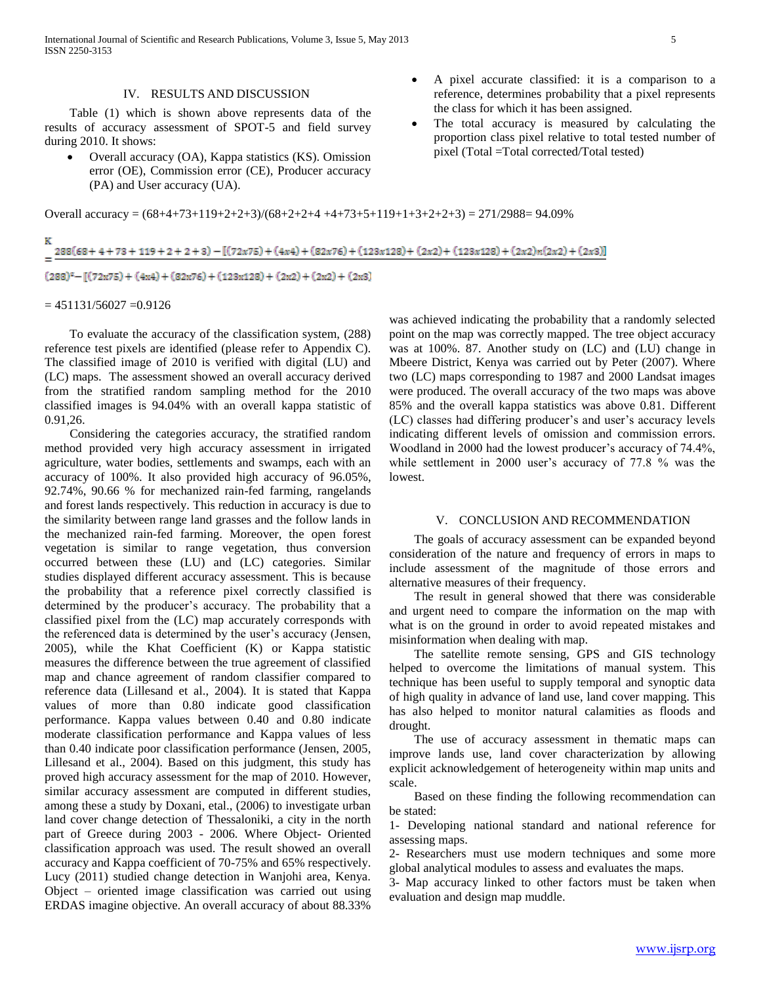International Journal of Scientific and Research Publications, Volume 3, Issue 5, May 2013 5 ISSN 2250-3153

#### IV. RESULTS AND DISCUSSION

 Table (1) which is shown above represents data of the results of accuracy assessment of SPOT-5 and field survey during 2010. It shows:

- Overall accuracy (OA), Kappa statistics (KS). Omission error (OE), Commission error (CE), Producer accuracy (PA) and User accuracy (UA).
- Overall accuracy =  $(68+4+73+119+2+2+3)/(68+2+2+4+4+73+5+119+1+3+2+2+3) = 271/2988 = 94.09\%$

| $288(68+4+73+119+2+2+3) - [(72x75)+(4x4)+(82x76)+(123x128)+(2x2)+(123x128)+(2x2)n(2x2)+(2x3)]$ |
|------------------------------------------------------------------------------------------------|
| $(288)^{2} - [(72x75) + (4x4) + (82x76) + (123x128) + (2x2) + (2x2) + (2x3)]$                  |

 $= 451131/56027 = 0.9126$ 

ĸ

 To evaluate the accuracy of the classification system, (288) reference test pixels are identified (please refer to Appendix C). The classified image of 2010 is verified with digital (LU) and (LC) maps. The assessment showed an overall accuracy derived from the stratified random sampling method for the 2010 classified images is 94.04% with an overall kappa statistic of 0.91,26.

 Considering the categories accuracy, the stratified random method provided very high accuracy assessment in irrigated agriculture, water bodies, settlements and swamps, each with an accuracy of 100%. It also provided high accuracy of 96.05%, 92.74%, 90.66 % for mechanized rain-fed farming, rangelands and forest lands respectively. This reduction in accuracy is due to the similarity between range land grasses and the follow lands in the mechanized rain-fed farming. Moreover, the open forest vegetation is similar to range vegetation, thus conversion occurred between these (LU) and (LC) categories. Similar studies displayed different accuracy assessment. This is because the probability that a reference pixel correctly classified is determined by the producer's accuracy. The probability that a classified pixel from the (LC) map accurately corresponds with the referenced data is determined by the user's accuracy (Jensen, 2005), while the Khat Coefficient (K) or Kappa statistic measures the difference between the true agreement of classified map and chance agreement of random classifier compared to reference data (Lillesand et al., 2004). It is stated that Kappa values of more than 0.80 indicate good classification performance. Kappa values between 0.40 and 0.80 indicate moderate classification performance and Kappa values of less than 0.40 indicate poor classification performance (Jensen, 2005, Lillesand et al., 2004). Based on this judgment, this study has proved high accuracy assessment for the map of 2010. However, similar accuracy assessment are computed in different studies, among these a study by Doxani, etal., (2006) to investigate urban land cover change detection of Thessaloniki, a city in the north part of Greece during 2003 - 2006. Where Object- Oriented classification approach was used. The result showed an overall accuracy and Kappa coefficient of 70-75% and 65% respectively. Lucy (2011) studied change detection in Wanjohi area, Kenya. Object – oriented image classification was carried out using ERDAS imagine objective. An overall accuracy of about 88.33%

was achieved indicating the probability that a randomly selected point on the map was correctly mapped. The tree object accuracy was at 100%. 87. Another study on (LC) and (LU) change in Mbeere District, Kenya was carried out by Peter (2007). Where two (LC) maps corresponding to 1987 and 2000 Landsat images were produced. The overall accuracy of the two maps was above 85% and the overall kappa statistics was above 0.81. Different (LC) classes had differing producer's and user's accuracy levels indicating different levels of omission and commission errors. Woodland in 2000 had the lowest producer's accuracy of 74.4%, while settlement in 2000 user's accuracy of 77.8 % was the lowest.

 A pixel accurate classified: it is a comparison to a reference, determines probability that a pixel represents

 The total accuracy is measured by calculating the proportion class pixel relative to total tested number of

the class for which it has been assigned.

pixel (Total =Total corrected/Total tested)

#### V. CONCLUSION AND RECOMMENDATION

 The goals of accuracy assessment can be expanded beyond consideration of the nature and frequency of errors in maps to include assessment of the magnitude of those errors and alternative measures of their frequency.

 The result in general showed that there was considerable and urgent need to compare the information on the map with what is on the ground in order to avoid repeated mistakes and misinformation when dealing with map.

 The satellite remote sensing, GPS and GIS technology helped to overcome the limitations of manual system. This technique has been useful to supply temporal and synoptic data of high quality in advance of land use, land cover mapping. This has also helped to monitor natural calamities as floods and drought.

 The use of accuracy assessment in thematic maps can improve lands use, land cover characterization by allowing explicit acknowledgement of heterogeneity within map units and scale.

 Based on these finding the following recommendation can be stated:

1- Developing national standard and national reference for assessing maps.

2- Researchers must use modern techniques and some more global analytical modules to assess and evaluates the maps.

3- Map accuracy linked to other factors must be taken when evaluation and design map muddle.